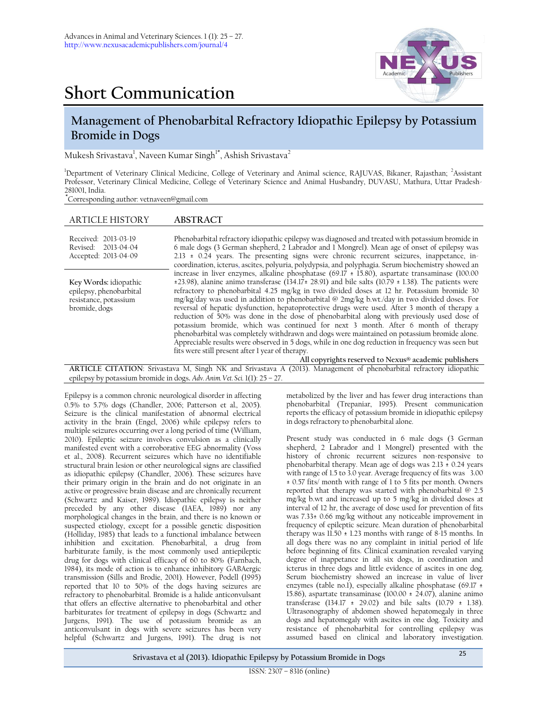

## **Short Communication**

## **Management of Phenobarbital Refractory Idiopathic Epilepsy by Potassium Bromide in Dogs**

Mukesh Srivastava<sup>1</sup>, Naveen Kumar Singh<sup>1\*</sup>, Ashish Srivastava<sup>2</sup>

<sup>1</sup>Department of Veterinary Clinical Medicine, College of Veterinary and Animal science, RAJUVAS, Bikaner, Rajasthan; <sup>2</sup>Assistant Professor, Veterinary Clinical Medicine, College of Veterinary Science and Animal Husbandry, DUVASU, Mathura, Uttar Pradesh-281001, India.

**\***Corresponding author: vetnaveen@gmail.com

| <b>ARTICLE HISTORY</b>                                                                                             | <b>ABSTRACT</b>                                                                                                                                                                                                                                                                                                                                                                                                                                                                                                                                                                                                                                                                                                                                                                                                                                                                                                                                                                                                 |  |  |  |  |
|--------------------------------------------------------------------------------------------------------------------|-----------------------------------------------------------------------------------------------------------------------------------------------------------------------------------------------------------------------------------------------------------------------------------------------------------------------------------------------------------------------------------------------------------------------------------------------------------------------------------------------------------------------------------------------------------------------------------------------------------------------------------------------------------------------------------------------------------------------------------------------------------------------------------------------------------------------------------------------------------------------------------------------------------------------------------------------------------------------------------------------------------------|--|--|--|--|
| Received: 2013-03-19<br>Revised: 2013-04-04<br>Accepted: 2013-04-09                                                | Phenobarbital refractory idiopathic epilepsy was diagnosed and treated with potassium bromide in<br>6 male dogs (3 German shepherd, 2 Labrador and 1 Mongrel). Mean age of onset of epilepsy was<br>$2.13 \pm 0.24$ years. The presenting signs were chronic recurrent seizures, inappetance, in-<br>coordination, icterus, ascites, polyuria, polydypsia, and polyphagia. Serum biochemistry showed an                                                                                                                                                                                                                                                                                                                                                                                                                                                                                                                                                                                                         |  |  |  |  |
| Key Words: idiopathic<br>epilepsy, phenobarbital<br>resistance, potassium<br>bromide, dogs                         | increase in liver enzymes, alkaline phosphatase $(69.17 \pm 15.80)$ , aspartate transaminase $(100.00$<br>±23.98), alanine animo transferase (134.17± 28.91) and bile salts (10.79 ± 1.38). The patients were<br>refractory to phenobarbital 4.25 mg/kg in two divided doses at 12 hr. Potassium bromide 30<br>mg/kg/day was used in addition to phenobarbital @ 2mg/kg b.wt./day in two divided doses. For<br>reversal of hepatic dysfunction, hepatoprotective drugs were used. After 3 month of therapy a<br>reduction of 50% was done in the dose of phenobarbital along with previously used dose of<br>potassium bromide, which was continued for next 3 month. After 6 month of therapy<br>phenobarbital was completely withdrawn and dogs were maintained on potassium bromide alone.<br>Appreciable results were observed in 5 dogs, while in one dog reduction in frequency was seen but<br>fits were still present after 1 year of therapy.<br>All copyrights reserved to Nexus® academic publishers |  |  |  |  |
| ADTICLE CITATION: Crivestave M, Singh NV and Srivestave A (2012) Managament of phanoharbital refractory idiopathic |                                                                                                                                                                                                                                                                                                                                                                                                                                                                                                                                                                                                                                                                                                                                                                                                                                                                                                                                                                                                                 |  |  |  |  |

**ARTICLE CITATION**: Srivastava M, Singh NK and Srivastava A (2013). Management of phenobarbital refractory idiopathic epilepsy by potassium bromide in dogs**.** *Adv. Anim. Vet. Sci.* 1(1): 25 – 27.

Epilepsy is a common chronic neurological disorder in affecting 0.5% to 5.7% dogs (Chandler, 2006; Patterson et al*.,* 2005). Seizure is the clinical manifestation of abnormal electrical activity in the brain (Engel, 2006) while epilepsy refers to multiple seizures occurring over a long period of time (William, 2010). Epileptic seizure involves convulsion as a clinically manifested event with a corroborative EEG abnormality (Voss et al., 2008). Recurrent seizures which have no identifiable structural brain lesion or other neurological signs are classified as idiopathic epilepsy (Chandler, 2006). These seizures have their primary origin in the brain and do not originate in an active or progressive brain disease and are chronically recurrent (Schwartz and Kaiser, 1989). Idiopathic epilepsy is neither preceded by any other disease (IAEA, 1989) nor any morphological changes in the brain, and there is no known or suspected etiology, except for a possible genetic disposition (Holliday, 1985) that leads to a functional imbalance between inhibition and excitation. Phenobarbital, a drug from barbiturate family, is the most commonly used antiepileptic drug for dogs with clinical efficacy of 60 to 80% (Farnbach, 1984), its mode of action is to enhance inhibitory GABAergic transmission (Sills and Brodie, 2001). However, Podell (1995) reported that 10 to 50% of the dogs having seizures are refractory to phenobarbital. Bromide is a halide anticonvulsant that offers an effective alternative to phenobarbital and other barbiturates for treatment of epilepsy in dogs (Schwartz and Jurgens, 1991). The use of potassium bromide as an anticonvulsant in dogs with severe seizures has been very helpful (Schwartz and Jurgens, 1991). The drug is not

metabolized by the liver and has fewer drug interactions than phenobarbital (Trepaniar, 1995). Present communication reports the efficacy of potassium bromide in idiopathic epilepsy in dogs refractory to phenobarbital alone.

Present study was conducted in 6 male dogs (3 German shepherd, 2 Labrador and 1 Mongrel) presented with the history of chronic recurrent seizures non-responsive to phenobarbital therapy. Mean age of dogs was  $2.13 \pm 0.24$  years with range of 1.5 to 3.0 year. Average frequency of fits was 3.00 ± 0.57 fits/ month with range of 1 to 5 fits per month. Owners reported that therapy was started with phenobarbital @ 2.5 mg/kg b.wt and increased up to 5 mg/kg in divided doses at interval of 12 hr, the average of dose used for prevention of fits was 7.33± 0.66 mg/kg without any noticeable improvement in frequency of epileptic seizure. Mean duration of phenobarbital therapy was 11.50 ± 1.23 months with range of 8-15 months. In all dogs there was no any complaint in initial period of life before beginning of fits. Clinical examination revealed varying degree of inappetance in all six dogs, in coordination and icterus in three dogs and little evidence of ascites in one dog. Serum biochemistry showed an increase in value of liver enzymes (table no.1), especially alkaline phosphatase (69.17  $\pm$ 15.86), aspartate transaminase  $(100.00 \pm 24.07)$ , alanine animo transferase (134.17 ± 29.02) and bile salts (10.79 ± 1.38). Ultrasonography of abdomen showed hepatomegaly in three dogs and hepatomegaly with ascites in one dog. Toxicity and resistance of phenobarbital for controlling epilepsy was assumed based on clinical and laboratory investigation.

**Srivastava et al (2013). Idiopathic Epilepsy by Potassium Bromide in Dogs** <sup>25</sup>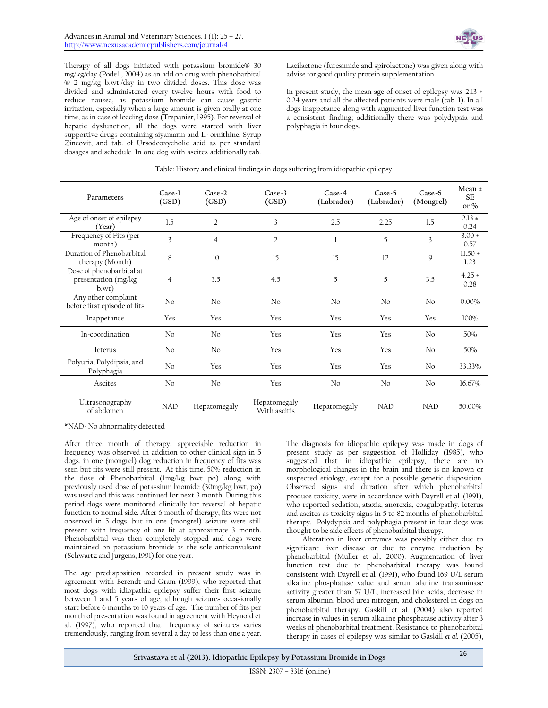

Therapy of all dogs initiated with potassium bromide@ 30 mg/kg/day (Podell, 2004) as an add on drug with phenobarbital @ 2 mg/kg b.wt./day in two divided doses. This dose was divided and administered every twelve hours with food to reduce nausea, as potassium bromide can cause gastric irritation, especially when a large amount is given orally at one time, as in case of loading dose (Trepanier, 1995). For reversal of hepatic dysfunction, all the dogs were started with liver supportive drugs containing siyamarin and L- ornithine, Syrup Zincovit, and tab. of Ursodeoxycholic acid as per standard dosages and schedule. In one dog with ascites additionally tab.

Lacilactone (furesimide and spirolactone) was given along with advise for good quality protein supplementation.

In present study, the mean age of onset of epilepsy was  $2.13 \pm 1$ 0.24 years and all the affected patients were male (tab. 1). In all dogs inappetance along with augmented liver function test was a consistent finding; additionally there was polydypsia and polyphagia in four dogs.

| Parameters                                               | Case-1<br>(GSD) | $Case-2$<br>(GSD) | $Case-3$<br>(GSD)            | $Case-4$<br>(Labrador) | $Case-5$<br>(Labrador) | $Case-6$<br>(Mongrel) | Mean ±<br><b>SF</b><br>or $%$ |
|----------------------------------------------------------|-----------------|-------------------|------------------------------|------------------------|------------------------|-----------------------|-------------------------------|
| Age of onset of epilepsy<br>(Year)                       | 1.5             | $\overline{2}$    | 3                            | 2.5                    | 2.25                   | 1.5                   | $2.13 \pm$<br>0.24            |
| Frequency of Fits (per<br>month)                         | 3               | $\overline{4}$    | $\overline{2}$               | 1                      | 5                      | 3                     | $3.00 \pm$<br>0.57            |
| Duration of Phenobarbital<br>therapy (Month)             | 8               | 10                | 15                           | 15                     | 12                     | 9                     | $11.50 \pm$<br>1.23           |
| Dose of phenobarbital at<br>presentation (mg/kg<br>b.wt) | $\overline{4}$  | 3.5               | 4.5                          | 5                      | 5                      | 3.5                   | $4.25 \pm$<br>0.28            |
| Any other complaint<br>before first episode of fits      | No              | No                | No                           | No                     | No                     | No                    | $0.00\%$                      |
| Inappetance                                              | Yes             | Yes               | Yes                          | Yes                    | Yes                    | Yes                   | 100%                          |
| In-coordination                                          | No              | No                | Yes                          | Yes                    | Yes                    | No                    | 50%                           |
| Icterus                                                  | No              | No                | Yes                          | Yes                    | Yes                    | No                    | 50%                           |
| Polyuria, Polydipsia, and<br>Polyphagia                  | No              | Yes               | Yes                          | Yes                    | Yes                    | No                    | 33.33%                        |
| Ascites                                                  | No              | No                | Yes                          | No                     | No                     | No                    | 16.67%                        |
| Ultrasonography<br>of abdomen                            | <b>NAD</b>      | Hepatomegaly      | Hepatomegaly<br>With ascitis | Hepatomegaly           | <b>NAD</b>             | <b>NAD</b>            | 50.00%                        |

## Table: History and clinical findings in dogs suffering from idiopathic epilepsy

\*NAD- No abnormality detected

After three month of therapy, appreciable reduction in frequency was observed in addition to other clinical sign in 5 dogs, in one (mongrel) dog reduction in frequency of fits was seen but fits were still present. At this time, 50% reduction in the dose of Phenobarbital (1mg/kg bwt po) along with previously used dose of potassium bromide (30mg/kg bwt, po) was used and this was continued for next 3 month. During this period dogs were monitored clinically for reversal of hepatic function to normal side. After 6 month of therapy, fits were not observed in 5 dogs, but in one (mongrel) seizure were still present with frequency of one fit at approximate 3 month. Phenobarbital was then completely stopped and dogs were maintained on potassium bromide as the sole anticonvulsant (Schwartz and Jurgens, 1991) for one year.

The age predisposition recorded in present study was in agreement with Berendt and Gram (1999), who reported that most dogs with idiopathic epilepsy suffer their first seizure between 1 and 5 years of age, although seizures occasionally start before 6 months to 10 years of age. The number of fits per month of presentation was found in agreement with Heynold et al. (1997), who reported that frequency of seizures varies tremendously, ranging from several a day to less than one a year.

The diagnosis for idiopathic epilepsy was made in dogs of present study as per suggestion of Holliday (1985), who suggested that in idiopathic epilepsy, there are no morphological changes in the brain and there is no known or suspected etiology, except for a possible genetic disposition. Observed signs and duration after which phenobarbital produce toxicity, were in accordance with Dayrell et al*.* (1991), who reported sedation, ataxia, anorexia, coagulopathy, icterus and ascites as toxicity signs in 5 to 82 months of phenobarbital therapy. Polydypsia and polyphagia present in four dogs was thought to be side effects of phenobarbital therapy.

Alteration in liver enzymes was possibly either due to significant liver disease or due to enzyme induction by phenobarbital (Muller et al., 2000). Augmentation of liver function test due to phenobarbital therapy was found consistent with Dayrell et al*.* (1991), who found 169 U/L serum alkaline phosphatase value and serum alanine transaminase activity greater than 57 U/L, increased bile acids, decrease in serum albumin, blood urea nitrogen, and cholesterol in dogs on phenobarbital therapy. Gaskill et al*.* (2004) also reported increase in values in serum [alkaline p](http://ukpmc.ac.uk/abstract/MED/1748613/?whatizit_url_gene_protein=http://www.uniprot.org/uniprot/?query=alkaline%20phosphatase&sort=score)hosphatase activity after 3 weeks of phenobarbital treatment. Resistance to phenobarbital therapy in cases of epilepsy was similar to Gaskill *et al.* (2005),